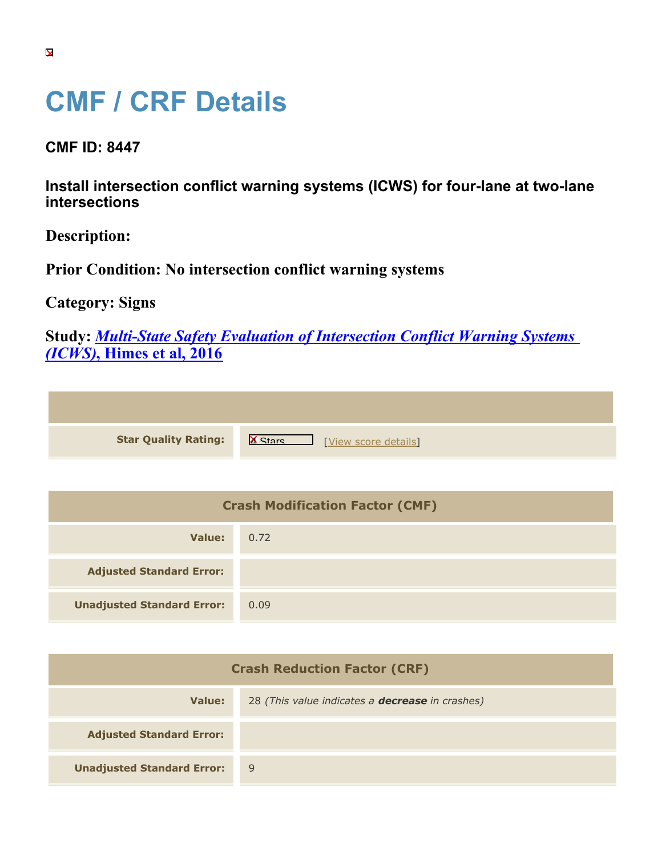## **CMF / CRF Details**

**CMF ID: 8447**

**Install intersection conflict warning systems (ICWS) for four-lane at two-lane intersections**

**Description:** 

**Prior Condition: No intersection conflict warning systems**

**Category: Signs**

**Study:** *[Multi-State Safety Evaluation of Intersection Conflict Warning Systems](https://cmfclearinghouse.org/study_detail.cfm?stid=468) [\(ICWS\)](https://cmfclearinghouse.org/study_detail.cfm?stid=468)***[, Himes et al, 2016](https://cmfclearinghouse.org/study_detail.cfm?stid=468)**

**Star Quality Rating:** X [View score details](https://cmfclearinghouse.org/score_details.cfm?facid=8447)]

| <b>Crash Modification Factor (CMF)</b> |      |  |
|----------------------------------------|------|--|
| Value:                                 | 0.72 |  |
| <b>Adjusted Standard Error:</b>        |      |  |
| <b>Unadjusted Standard Error:</b>      | 0.09 |  |

| <b>Crash Reduction Factor (CRF)</b> |                                                        |  |
|-------------------------------------|--------------------------------------------------------|--|
| Value:                              | 28 (This value indicates a <b>decrease</b> in crashes) |  |
| <b>Adjusted Standard Error:</b>     |                                                        |  |
| <b>Unadjusted Standard Error:</b>   | 9                                                      |  |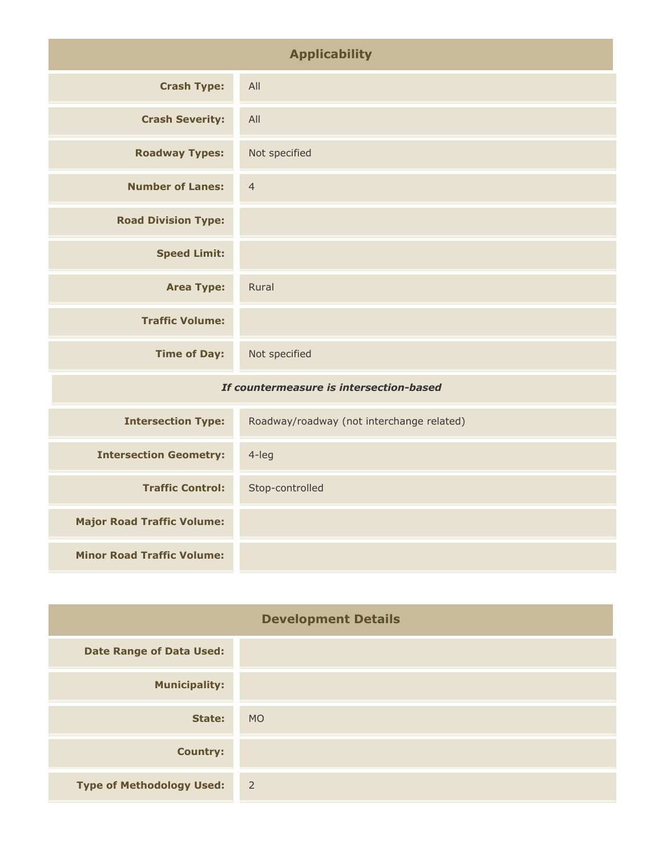| <b>Applicability</b>                    |                                           |
|-----------------------------------------|-------------------------------------------|
| <b>Crash Type:</b>                      | All                                       |
| <b>Crash Severity:</b>                  | All                                       |
| <b>Roadway Types:</b>                   | Not specified                             |
| <b>Number of Lanes:</b>                 | $\overline{4}$                            |
| <b>Road Division Type:</b>              |                                           |
| <b>Speed Limit:</b>                     |                                           |
| <b>Area Type:</b>                       | Rural                                     |
| <b>Traffic Volume:</b>                  |                                           |
| <b>Time of Day:</b>                     | Not specified                             |
| If countermeasure is intersection-based |                                           |
| <b>Intersection Type:</b>               | Roadway/roadway (not interchange related) |
| <b>Intersection Geometry:</b>           | 4-leg                                     |
| <b>Traffic Control:</b>                 | Stop-controlled                           |

| <b>Development Details</b>       |                |
|----------------------------------|----------------|
| <b>Date Range of Data Used:</b>  |                |
| <b>Municipality:</b>             |                |
| State:                           | <b>MO</b>      |
| <b>Country:</b>                  |                |
| <b>Type of Methodology Used:</b> | $\overline{2}$ |

**Major Road Traffic Volume:**

**Minor Road Traffic Volume:**